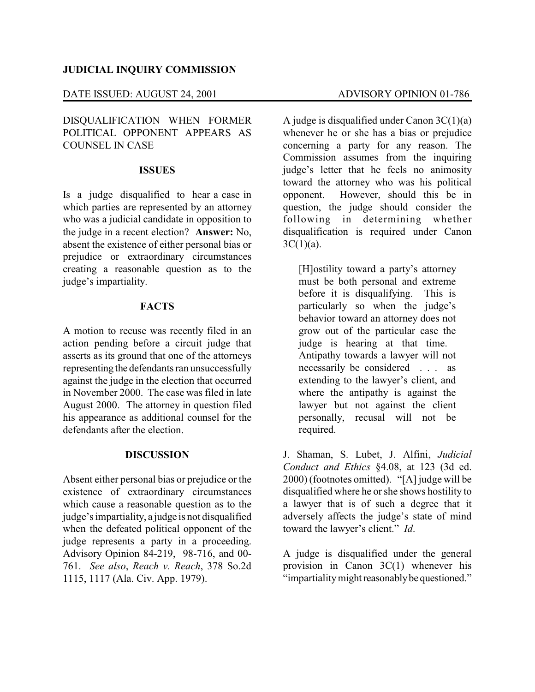### **JUDICIAL INQUIRY COMMISSION**

## DATE ISSUED: AUGUST 24, 2001 ADVISORY OPINION 01-786

## DISQUALIFICATION WHEN FORMER POLITICAL OPPONENT APPEARS AS COUNSEL IN CASE

#### **ISSUES**

Is a judge disqualified to hear a case in which parties are represented by an attorney who was a judicial candidate in opposition to the judge in a recent election? **Answer:** No, absent the existence of either personal bias or prejudice or extraordinary circumstances creating a reasonable question as to the judge's impartiality.

#### **FACTS**

A motion to recuse was recently filed in an action pending before a circuit judge that asserts as its ground that one of the attorneys representing the defendants ran unsuccessfully against the judge in the election that occurred in November 2000. The case was filed in late August 2000. The attorney in question filed his appearance as additional counsel for the defendants after the election

#### **DISCUSSION**

Absent either personal bias or prejudice or the existence of extraordinary circumstances which cause a reasonable question as to the judge's impartiality, a judge is not disqualified when the defeated political opponent of the judge represents a party in a proceeding. Advisory Opinion 84-219, 98-716, and 00- 761. *See also*, *Reach v. Reach*, 378 So.2d 1115, 1117 (Ala. Civ. App. 1979).

A judge is disqualified under Canon  $3C(1)(a)$ whenever he or she has a bias or prejudice concerning a party for any reason. The Commission assumes from the inquiring judge's letter that he feels no animosity toward the attorney who was his political opponent. However, should this be in question, the judge should consider the following in determining whether disqualification is required under Canon  $3C(1)(a)$ .

[H]ostility toward a party's attorney must be both personal and extreme before it is disqualifying. This is particularly so when the judge's behavior toward an attorney does not grow out of the particular case the judge is hearing at that time. Antipathy towards a lawyer will not necessarily be considered . . . as extending to the lawyer's client, and where the antipathy is against the lawyer but not against the client personally, recusal will not be required.

J. Shaman, S. Lubet, J. Alfini, *Judicial Conduct and Ethics* §4.08, at 123 (3d ed. 2000) (footnotes omitted). "[A] judge will be disqualified where he or she shows hostility to a lawyer that is of such a degree that it adversely affects the judge's state of mind toward the lawyer's client." *Id*.

A judge is disqualified under the general provision in Canon 3C(1) whenever his "impartialitymight reasonablybe questioned."